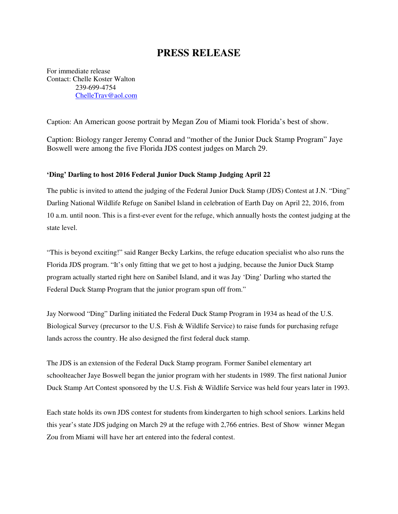## **PRESS RELEASE**

For immediate release Contact: Chelle Koster Walton 239-699-4754 ChelleTrav@aol.com

Caption: An American goose portrait by Megan Zou of Miami took Florida's best of show.

Caption: Biology ranger Jeremy Conrad and "mother of the Junior Duck Stamp Program" Jaye Boswell were among the five Florida JDS contest judges on March 29.

## **'Ding' Darling to host 2016 Federal Junior Duck Stamp Judging April 22**

The public is invited to attend the judging of the Federal Junior Duck Stamp (JDS) Contest at J.N. "Ding" Darling National Wildlife Refuge on Sanibel Island in celebration of Earth Day on April 22, 2016, from 10 a.m. until noon. This is a first-ever event for the refuge, which annually hosts the contest judging at the state level.

"This is beyond exciting!" said Ranger Becky Larkins, the refuge education specialist who also runs the Florida JDS program. "It's only fitting that we get to host a judging, because the Junior Duck Stamp program actually started right here on Sanibel Island, and it was Jay 'Ding' Darling who started the Federal Duck Stamp Program that the junior program spun off from."

Jay Norwood "Ding" Darling initiated the Federal Duck Stamp Program in 1934 as head of the U.S. Biological Survey (precursor to the U.S. Fish & Wildlife Service) to raise funds for purchasing refuge lands across the country. He also designed the first federal duck stamp.

The JDS is an extension of the Federal Duck Stamp program. Former Sanibel elementary art schoolteacher Jaye Boswell began the junior program with her students in 1989. The first national Junior Duck Stamp Art Contest sponsored by the U.S. Fish & Wildlife Service was held four years later in 1993.

Each state holds its own JDS contest for students from kindergarten to high school seniors. Larkins held this year's state JDS judging on March 29 at the refuge with 2,766 entries. Best of Show winner Megan Zou from Miami will have her art entered into the federal contest.